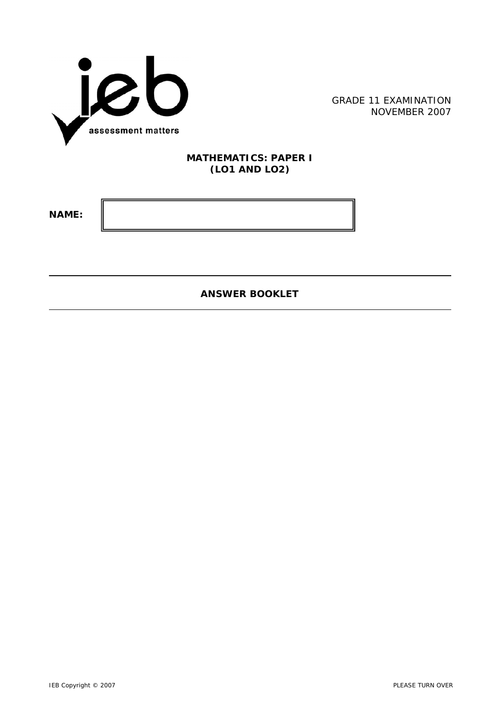

GRADE 11 EXAMINATION NOVEMBER 2007

## **MATHEMATICS: PAPER I (LO1 AND LO2)**

**NAME:** 

l

**ANSWER BOOKLET**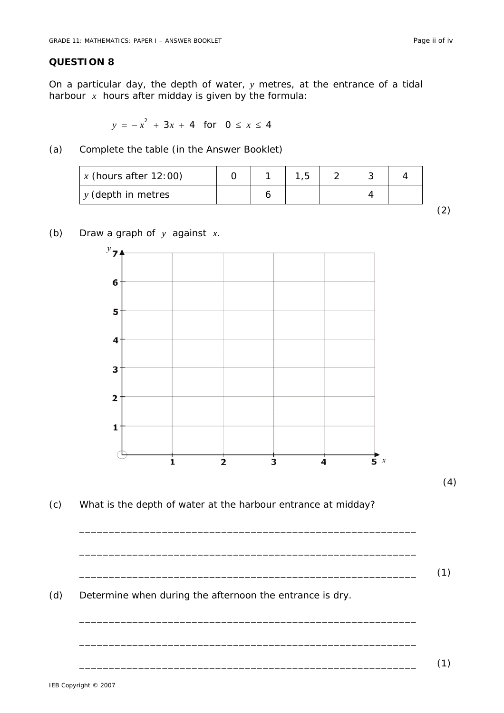## **QUESTION 8**

On a particular day, the depth of water, *y* metres, at the entrance of a tidal harbour *x* hours after midday is given by the formula:

 $y = -x^2 + 3x + 4$  for  $0 \le x \le 4$ 

(a) Complete the table (in the Answer Booklet)

| x (hours after $12:00$ ) |  |  |  |  |
|--------------------------|--|--|--|--|
| $y$ (depth in metres     |  |  |  |  |
|                          |  |  |  |  |

## (b) Draw a graph of *y* against *x*.



(c) What is the depth of water at the harbour entrance at midday?

\_\_\_\_\_\_\_\_\_\_\_\_\_\_\_\_\_\_\_\_\_\_\_\_\_\_\_\_\_\_\_\_\_\_\_\_\_\_\_\_\_\_\_\_\_\_\_\_\_\_\_\_\_\_\_\_\_

\_\_\_\_\_\_\_\_\_\_\_\_\_\_\_\_\_\_\_\_\_\_\_\_\_\_\_\_\_\_\_\_\_\_\_\_\_\_\_\_\_\_\_\_\_\_\_\_\_\_\_\_\_\_\_\_\_

\_\_\_\_\_\_\_\_\_\_\_\_\_\_\_\_\_\_\_\_\_\_\_\_\_\_\_\_\_\_\_\_\_\_\_\_\_\_\_\_\_\_\_\_\_\_\_\_\_\_\_\_\_\_\_\_\_

\_\_\_\_\_\_\_\_\_\_\_\_\_\_\_\_\_\_\_\_\_\_\_\_\_\_\_\_\_\_\_\_\_\_\_\_\_\_\_\_\_\_\_\_\_\_\_\_\_\_\_\_\_\_\_\_\_

\_\_\_\_\_\_\_\_\_\_\_\_\_\_\_\_\_\_\_\_\_\_\_\_\_\_\_\_\_\_\_\_\_\_\_\_\_\_\_\_\_\_\_\_\_\_\_\_\_\_\_\_\_\_\_\_\_ (1)

(d) Determine when during the afternoon the entrance is dry.

\_\_\_\_\_\_\_\_\_\_\_\_\_\_\_\_\_\_\_\_\_\_\_\_\_\_\_\_\_\_\_\_\_\_\_\_\_\_\_\_\_\_\_\_\_\_\_\_\_\_\_\_\_\_\_\_\_ (1)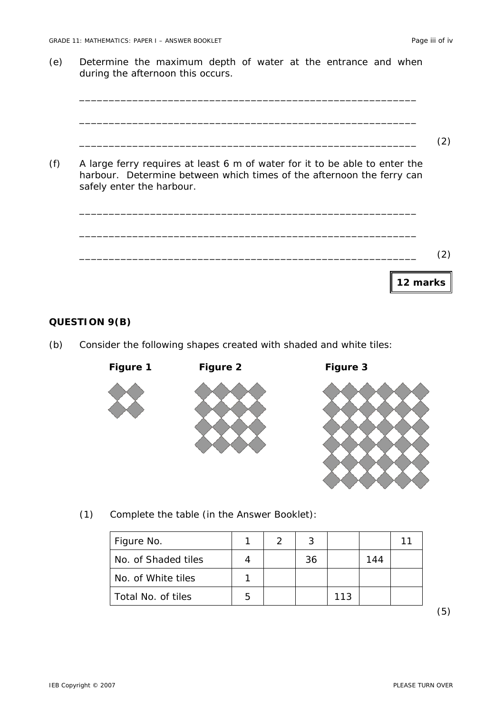(e) Determine the maximum depth of water at the entrance and when during the afternoon this occurs.

```
_________________________________________________________ 
     _________________________________________________________ 
     _________________________________________________________ (2) 
(f) A large ferry requires at least 6 m of water for it to be able to enter the 
     harbour. Determine between which times of the afternoon the ferry can 
     safely enter the harbour. 
     _________________________________________________________ 
     _________________________________________________________ 
     _________________________________________________________ (2) 
                                                               12 marks
```
## **QUESTION 9(B)**

(b) Consider the following shapes created with shaded and white tiles:



(1) Complete the table (in the Answer Booklet):

| Figure No.          |   | 3  |     |     |  |
|---------------------|---|----|-----|-----|--|
| No. of Shaded tiles |   | 36 |     | 144 |  |
| No. of White tiles  |   |    |     |     |  |
| Total No. of tiles  | 5 |    | 113 |     |  |

(5)